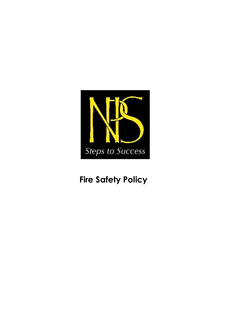

# **Fire Safety Policy**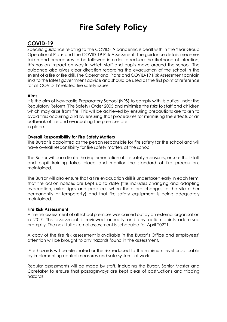# **Fire Safety Policy**

# **COVID-19**

Specific guidance relating to the COVID-19 pandemic is dealt with in the Year Group Operational Plans and the COVID-19 Risk Assessment. The guidance details measures taken and procedures to be followed in order to reduce the likelihood of infection, this has an impact on way in which staff and pupils move around the school. The guidance also gives clear direction regarding the evacuation of the school in the event of a fire or fire drill. The Operational Plans and COVID-19 Risk Assessment contain links to the latest government advice and should be used as the first point of reference for all COVID-19 related fire safety issues.

# **Aims**

It is the aim of Newcastle Preparatory School (NPS) to comply with its duties under the Regulatory Reform (Fire Safety) Order 2005 and minimise the risks to staff and children which may arise from fire. This will be achieved by ensuring precautions are taken to avoid fires occurring and by ensuring that procedures for minimising the effects of an outbreak of fire and evacuating the premises are in place.

# **Overall Responsibility for Fire Safety Matters**

The Bursar is appointed as the person responsible for fire safety for the school and will have overall responsibility for fire safety matters at the school.

The Bursar will coordinate the implementation of fire safety measures, ensure that staff and pupil training takes place and monitor the standard of fire precautions maintained.

The Bursar will also ensure that a fire evacuation drill is undertaken early in each term, that fire action notices are kept up to date (this includes changing and adapting evacuation, extra signs and practices when there are changes to the site either permanently or temporarily) and that fire safety equipment is being adequately maintained.

#### **Fire Risk Assessment**

A fire risk assessment of all school premises was carried out by an external organisation in 2017. This assessment is reviewed annually and any action points addressed promptly. The next full external assessment is scheduled for April 20221.

A copy of the fire risk assessment is available in the Bursar's Office and employees' attention will be brought to any hazards found in the assessment.

Fire hazards will be eliminated or the risk reduced to the minimum level practicable by implementing control measures and safe systems of work.

Regular assessments will be made by staff, including the Bursar, Senior Master and Caretaker to ensure that passageways are kept clear of obstructions and tripping hazards.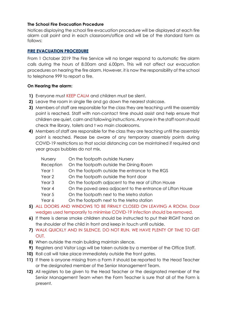# **The School Fire Evacuation Procedure**

Notices displaying the school fire evacuation procedure will be displayed at each fire alarm call point and in each classroom/office and will be of the standard form as follows:

# **FIRE EVACUATION PROCEDURE**

From 1 October 2019 The Fire Service will no longer respond to automatic fire alarm calls during the hours of 8.00am and 6.00pm. This will not affect our evacuation procedures on hearing the fire alarm. However, it is now the responsibility of the school to telephone 999 to report a fire.

# **On Hearing the alarm:**

- **1)** Everyone must KEEP CALM and children must be silent.
- **2)** Leave the room in single file and go down the nearest staircase.
- **3)** Members of staff are responsible for the class they are teaching until the assembly point is reached. Staff with non-contact time should assist and help ensure that children are quiet, calm and following instructions. Anyone in the staff room should check the library, toilets and t wo main cloakrooms.
- **4)** Members of staff are responsible for the class they are teaching until the assembly point is reached. Please be aware of any temporary assembly points during COVID-19 restrictions so that social distancing can be maintained if required and year groups bubbles do not mix.

| <b>Nursery</b>    | On the footpath outside Nursery                                           |
|-------------------|---------------------------------------------------------------------------|
| Reception         | On the footpath outside the Dining Room                                   |
| Year 1            | On the footpath outside the entrance to the RGS                           |
| Year 2            | On the footpath outside the front door                                    |
| Year <sub>3</sub> | On the footpath adjacent to the rear of Lifton House                      |
| Year 4            | On the paved area adjacent to the entrance of Lifton House                |
| Year 5            | On the footpath next to the Metro station                                 |
| Year 6            | On the footpath next to the Metro station                                 |
|                   | 5) ALL DOORS AND WINDOWS TO BE FIRMLY CLOSED ON LEAVING A ROOM. Door      |
|                   | wedges used temporarily to minimise COVID-19 infection should be removed. |
|                   |                                                                           |

- **6)** If there is dense smoke children should be instructed to put their RIGHT hand on the shoulder of the child in front and keep in touch until outside.
- **7)** WALK QUICKLY AND IN SILENCE. DO NOT RUN. WE HAVE PLENTY OF TIME TO GET OUT.
- **8)** When outside the main building maintain silence.
- **9)** Registers and Visitor Logs will be taken outside by a member of the Office Staff.
- **10)** Roll call will take place immediately outside the front gates.
- **11)** If there is anyone missing from a Form it should be reported to the Head Teacher or the designated member of the Senior Management Team.
- **12)** All registers to be given to the Head Teacher or the designated member of the Senior Management Team when the Form Teacher is sure that all of the Form is present.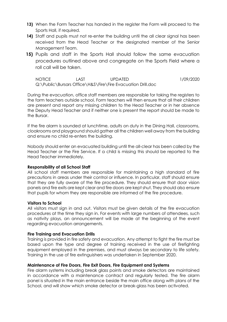- **13)** When the Form Teacher has handed in the register the Form will proceed to the Sports Hall, if required.
- **14)** Staff and pupils must not re-enter the building until the all clear signal has been received from the Head Teacher or the designated member of the Senior Management Team.
- **15)** Pupils and staff in the Sports Hall should follow the same evacuation procedures outlined above and congregate on the Sports Field where a roll call will be taken.

NOTICE LAST UPDATED 1/09/2020 Q:\Public\Bursars Office\H&S\Fire\Fire Evacuation Drill.doc

During the evacuation, office staff members are responsible for taking the registers to the form teachers outside school. Form teachers will then ensure that all their children are present and report any missing children to the Head Teacher or in her absence the Deputy Head Teacher and if neither one is present the report should be made to the Bursar.

If the fire alarm is sounded at lunchtime, adults on duty in the Dining Hall, classrooms, cloakrooms and playground should gather all the children well away from the building and ensure no child re-enters the building.

Nobody should enter an evacuated building until the all-clear has been called by the Head Teacher or the Fire Service. If a child is missing this should be reported to the Head Teacher immediately.

#### **Responsibility of all School Staff**

All school staff members are responsible for maintaining a high standard of fire precautions in areas under their control or influence. In particular, staff should ensure that they are fully aware of the fire procedure. They should ensure that door vision panels and fire exits are kept clear and fire doors are kept shut. They should also ensure that pupils for whom they are responsible are informed of the fire procedure.

#### **Visitors to School**

All visitors must sign in and out. Visitors must be given details of the fire evacuation procedures at the time they sign in. For events with large numbers of attendees, such as nativity plays, an announcement will be made at the beginning of the event regarding evacuation arrangements.

#### **Fire Training and Evacuation Drills**

Training is provided in fire safety and evacuation. Any attempt to fight the fire must be based upon the type and degree of training received in the use of firefighting equipment employed in the premises, and must always be secondary to life safety. Training in the use of fire extinguishers was undertaken in September 2020.

#### **Maintenance of Fire Doors, Fire Exit Doors, Fire Equipment and Systems**

Fire alarm systems including break glass points and smoke detectors are maintained in accordance with a maintenance contract and regularly tested. The fire alarm panel is situated in the main entrance beside the main office along with plans of the School, and will show which smoke detector or break-glass has been activated.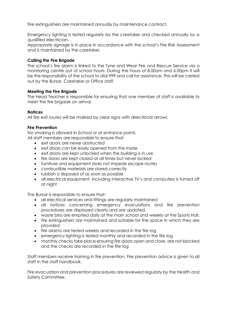Fire extinguishers are maintained annually by maintenance contract.

Emergency lighting is tested regularly by the caretaker and checked annually by a qualified electrician.

Appropriate signage is in place in accordance with the school's Fire Risk Assessment and is maintained by the caretaker.

# **Calling the Fire Brigade**

The school's fire alarm is linked to the Tyne and Wear Fire and Rescue Service via a monitoring centre out of school hours. During the hours of 8.00am and 6.00pm it will be the responsibility of the school to dial 999 and call for assistance. This will be carried out by the Bursar, Caretaker or Office staff.

# **Meeting the Fire Brigade**

The Head Teacher is responsible for ensuring that one member of staff is available to meet the fire brigade on arrival.

# **Notices**

All fire exit routes will be marked by clear signs with directional arrows.

# **Fire Prevention**

No smoking is allowed in School or at entrance points All staff members are responsible to ensure that:

- exit doors are never obstructed
- exit doors can be easily opened from the inside
- exit doors are kept unlocked when the building is in use
- fire doors are kept closed at all times but never locked
- furniture and equipment does not impede escape routes
- combustible materials are stored correctly
- rubbish is disposed of as soon as possible
- all electrical equipment, including interactive TV's and computers is turned off at night

The Bursar is responsible to ensure that:

- all electrical services and fittings are regularly maintained
- all notices concerning emergency evacuations and fire prevention procedures are displayed clearly and are updated.
- waste bins are emptied daily at the main school and weekly at the Sports Hall.
- fire extinguishers are maintained and suitable for the space in which they are provided
- fire alarms are tested weekly and recorded in the fire log
- emergency lighting is tested monthly and recorded in the fire log
- monthly checks take place ensuring fire doors open and close, are not blocked and the checks are recorded in the fire log

Staff members receive training in fire prevention. Fire prevention advice is given to all staff in the staff handbook.

Fire evacuation and prevention procedures are reviewed regularly by the Health and Safety Committee.